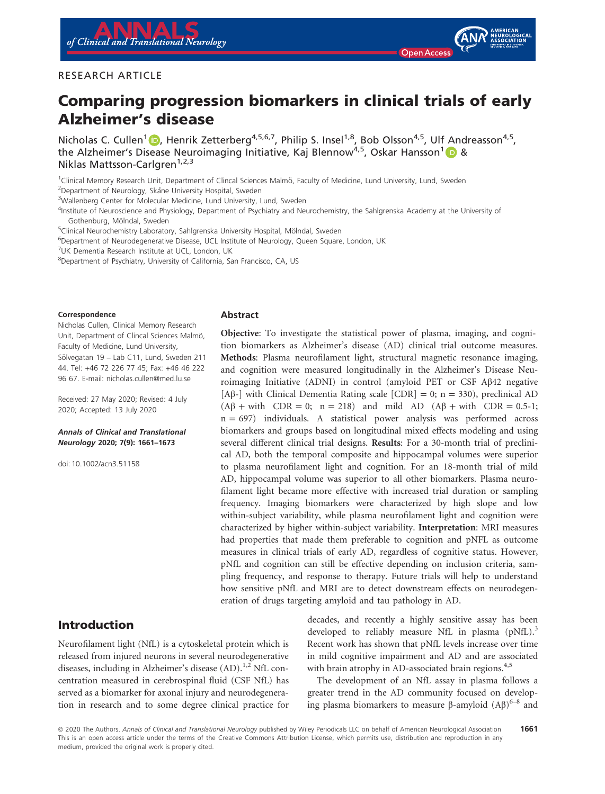#### RESEARCH ARTICLE

# Comparing progression biomarkers in clinical trials of early Alzheimer's disease

Nicholas C. Cullen<sup>[1](https://orcid.org/0000-0002-6257-3387)</sup> (D), Henrik Zetterberg<sup>4,5,6,7</sup>, Philip S. Insel<sup>1,8</sup>, Bob Olsson<sup>4,5</sup>, Ulf Andreasson<sup>4,5</sup>. the Alzheimer's Disease Neuroimaging Initiative, Kaj Blennow<sup>4,5</sup>, Oskar Hansson<sup>[1](https://orcid.org/0000-0001-8467-7286)</sup> (D & Niklas Mattsson-Carlgren<sup>1,2,3</sup>

<sup>1</sup>Clinical Memory Research Unit, Department of Clincal Sciences Malmö, Faculty of Medicine, Lund University, Lund, Sweden <sup>2</sup>Department of Neurology, Skåne University Hospital, Sweden

<sup>3</sup>Wallenberg Center for Molecular Medicine, Lund University, Lund, Sweden

4 Institute of Neuroscience and Physiology, Department of Psychiatry and Neurochemistry, the Sahlgrenska Academy at the University of Gothenburg, Mölndal, Sweden

<sup>5</sup>Clinical Neurochemistry Laboratory, Sahlgrenska University Hospital, Mölndal, Sweden

<sup>6</sup>Department of Neurodegenerative Disease, UCL Institute of Neurology, Queen Square, London, UK

<sup>7</sup>UK Dementia Research Institute at UCL, London, UK

<sup>8</sup>Department of Psychiatry, University of California, San Francisco, CA, US

#### Correspondence

Nicholas Cullen, Clinical Memory Research Unit, Department of Clincal Sciences Malmö, Faculty of Medicine, Lund University, Sölvegatan 19 - Lab C11, Lund, Sweden 211 44. Tel: +46 72 226 77 45; Fax: +46 46 222 96 67. E-mail: [nicholas.cullen@med.lu.se](mailto:)

Received: 27 May 2020; Revised: 4 July 2020; Accepted: 13 July 2020

#### Annals of Clinical and Translational Neurology 2020; 7(9): 1661–1673

doi: 10.1002/acn3.51158

## Introduction

Neurofilament light (NfL) is a cytoskeletal protein which is released from injured neurons in several neurodegenerative diseases, including in Alzheimer's disease  $(AD)$ .<sup>1,2</sup> NfL concentration measured in cerebrospinal fluid (CSF NfL) has served as a biomarker for axonal injury and neurodegeneration in research and to some degree clinical practice for

#### Abstract

Objective: To investigate the statistical power of plasma, imaging, and cognition biomarkers as Alzheimer's disease (AD) clinical trial outcome measures. Methods: Plasma neurofilament light, structural magnetic resonance imaging, and cognition were measured longitudinally in the Alzheimer's Disease Neuroimaging Initiative (ADNI) in control (amyloid PET or CSF Aβ42 negative [ $\text{A}\beta$ -] with Clinical Dementia Rating scale  $\text{[CDR]} = 0$ ; n = 330), preclinical AD  $(A\beta + \text{with } \text{CDR} = 0; \quad n = 218)$  and mild AD  $(A\beta + \text{with } \text{CDR} = 0.5-1;$  $n = 697$ ) individuals. A statistical power analysis was performed across biomarkers and groups based on longitudinal mixed effects modeling and using several different clinical trial designs. Results: For a 30-month trial of preclinical AD, both the temporal composite and hippocampal volumes were superior to plasma neurofilament light and cognition. For an 18-month trial of mild AD, hippocampal volume was superior to all other biomarkers. Plasma neurofilament light became more effective with increased trial duration or sampling frequency. Imaging biomarkers were characterized by high slope and low within-subject variability, while plasma neurofilament light and cognition were characterized by higher within-subject variability. Interpretation: MRI measures had properties that made them preferable to cognition and pNFL as outcome measures in clinical trials of early AD, regardless of cognitive status. However, pNfL and cognition can still be effective depending on inclusion criteria, sampling frequency, and response to therapy. Future trials will help to understand how sensitive pNfL and MRI are to detect downstream effects on neurodegeneration of drugs targeting amyloid and tau pathology in AD.

> decades, and recently a highly sensitive assay has been developed to reliably measure NfL in plasma  $(pNfL)<sup>3</sup>$ Recent work has shown that pNfL levels increase over time in mild cognitive impairment and AD and are associated with brain atrophy in AD-associated brain regions.<sup>4,5</sup>

> The development of an NfL assay in plasma follows a greater trend in the AD community focused on developing plasma biomarkers to measure  $β$ -amyloid  $(Aβ)^{6-8}$  and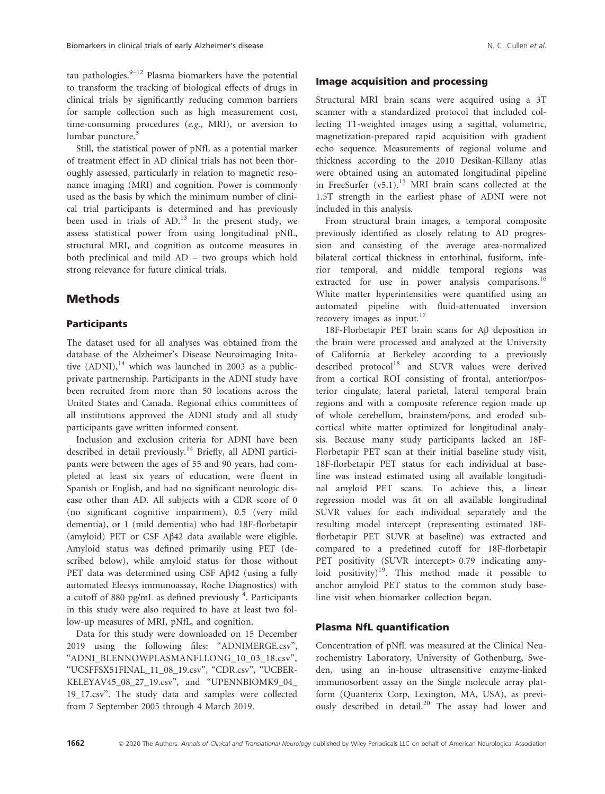tau pathologies. $9-12$  Plasma biomarkers have the potential to transform the tracking of biological effects of drugs in clinical trials by significantly reducing common barriers for sample collection such as high measurement cost, time-consuming procedures (e.g., MRI), or aversion to lumbar puncture.<sup>3</sup>

Still, the statistical power of pNfL as a potential marker of treatment effect in AD clinical trials has not been thoroughly assessed, particularly in relation to magnetic resonance imaging (MRI) and cognition. Power is commonly used as the basis by which the minimum number of clinical trial participants is determined and has previously been used in trials of  $AD<sup>13</sup>$ . In the present study, we assess statistical power from using longitudinal pNfL, structural MRI, and cognition as outcome measures in both preclinical and mild AD – two groups which hold strong relevance for future clinical trials.

# Methods

## Participants

The dataset used for all analyses was obtained from the database of the Alzheimer's Disease Neuroimaging Initative  $(ADNI)$ ,<sup>14</sup> which was launched in 2003 as a publicprivate partnernship. Participants in the ADNI study have been recruited from more than 50 locations across the United States and Canada. Regional ethics committees of all institutions approved the ADNI study and all study participants gave written informed consent.

Inclusion and exclusion criteria for ADNI have been described in detail previously.<sup>14</sup> Briefly, all ADNI participants were between the ages of 55 and 90 years, had completed at least six years of education, were fluent in Spanish or English, and had no significant neurologic disease other than AD. All subjects with a CDR score of 0 (no significant cognitive impairment), 0.5 (very mild dementia), or 1 (mild dementia) who had 18F-florbetapir (amyloid) PET or CSF Aβ42 data available were eligible. Amyloid status was defined primarily using PET (described below), while amyloid status for those without PET data was determined using CSF Aβ42 (using a fully automated Elecsys immunoassay, Roche Diagnostics) with a cutoff of 880 pg/mL as defined previously <sup>4</sup>. Participants in this study were also required to have at least two follow-up measures of MRI, pNfL, and cognition.

Data for this study were downloaded on 15 December 2019 using the following files: "ADNIMERGE.csv", "ADNI\_BLENNOWPLASMANFLLONG\_10\_03\_18.csv", "UCSFFSX51FINAL\_11\_08\_19.csv", "CDR.csv", "UCBER-KELEYAV45\_08\_27\_19.csv", and "UPENNBIOMK9\_04\_ 19\_17.csv". The study data and samples were collected from 7 September 2005 through 4 March 2019.

#### Image acquisition and processing

Structural MRI brain scans were acquired using a 3T scanner with a standardized protocol that included collecting T1-weighted images using a sagittal, volumetric, magnetization-prepared rapid acquisition with gradient echo sequence. Measurements of regional volume and thickness according to the 2010 Desikan-Killany atlas were obtained using an automated longitudinal pipeline in FreeSurfer  $(v5.1)$ .<sup>15</sup> MRI brain scans collected at the 1.5T strength in the earliest phase of ADNI were not included in this analysis.

From structural brain images, a temporal composite previously identified as closely relating to AD progression and consisting of the average area-normalized bilateral cortical thickness in entorhinal, fusiform, inferior temporal, and middle temporal regions was extracted for use in power analysis comparisons.<sup>16</sup> White matter hyperintensities were quantified using an automated pipeline with fluid-attenuated inversion recovery images as input.<sup>17</sup>

18F-Florbetapir PET brain scans for Aβ deposition in the brain were processed and analyzed at the University of California at Berkeley according to a previously described protocol<sup>18</sup> and SUVR values were derived from a cortical ROI consisting of frontal, anterior/posterior cingulate, lateral parietal, lateral temporal brain regions and with a composite reference region made up of whole cerebellum, brainstem/pons, and eroded subcortical white matter optimized for longitudinal analysis. Because many study participants lacked an 18F-Florbetapir PET scan at their initial baseline study visit, 18F-florbetapir PET status for each individual at baseline was instead estimated using all available longitudinal amyloid PET scans. To achieve this, a linear regression model was fit on all available longitudinal SUVR values for each individual separately and the resulting model intercept (representing estimated 18Fflorbetapir PET SUVR at baseline) was extracted and compared to a predefined cutoff for 18F-florbetapir PET positivity (SUVR intercept> 0.79 indicating amyloid positivity)<sup>19</sup>. This method made it possible to anchor amyloid PET status to the common study baseline visit when biomarker collection began.

#### Plasma NfL quantification

Concentration of pNfL was measured at the Clinical Neurochemistry Laboratory, University of Gothenburg, Sweden, using an in-house ultrasensitive enzyme-linked immunosorbent assay on the Single molecule array platform (Quanterix Corp, Lexington, MA, USA), as previously described in detail.<sup>20</sup> The assay had lower and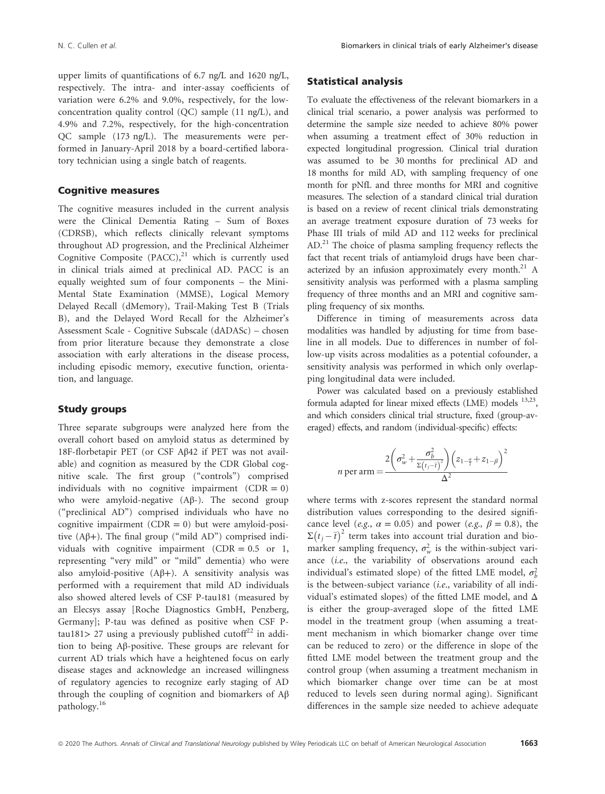upper limits of quantifications of 6.7 ng/L and 1620 ng/L, respectively. The intra- and inter-assay coefficients of variation were 6.2% and 9.0%, respectively, for the lowconcentration quality control (QC) sample (11 ng/L), and 4.9% and 7.2%, respectively, for the high-concentration QC sample (173 ng/L). The measurements were performed in January-April 2018 by a board-certified laboratory technician using a single batch of reagents.

#### Cognitive measures

The cognitive measures included in the current analysis were the Clinical Dementia Rating – Sum of Boxes (CDRSB), which reflects clinically relevant symptoms throughout AD progression, and the Preclinical Alzheimer Cognitive Composite  $(PACC)$ ,<sup>21</sup> which is currently used in clinical trials aimed at preclinical AD. PACC is an equally weighted sum of four components – the Mini-Mental State Examination (MMSE), Logical Memory Delayed Recall (dMemory), Trail-Making Test B (Trials B), and the Delayed Word Recall for the Alzheimer's Assessment Scale - Cognitive Subscale (dADASc) – chosen from prior literature because they demonstrate a close association with early alterations in the disease process, including episodic memory, executive function, orientation, and language.

#### Study groups

Three separate subgroups were analyzed here from the overall cohort based on amyloid status as determined by 18F-florbetapir PET (or CSF Aβ42 if PET was not available) and cognition as measured by the CDR Global cognitive scale. The first group ("controls") comprised individuals with no cognitive impairment  $(CDR = 0)$ who were amyloid-negative (Aβ-). The second group ("preclinical AD") comprised individuals who have no cognitive impairment  $(CDR = 0)$  but were amyloid-positive  $(A\beta+)$ . The final group ("mild AD") comprised individuals with cognitive impairment (CDR =  $0.5$  or 1, representing "very mild" or "mild" dementia) who were also amyloid-positive  $(A\beta+)$ . A sensitivity analysis was performed with a requirement that mild AD individuals also showed altered levels of CSF P-tau181 (measured by an Elecsys assay [Roche Diagnostics GmbH, Penzberg, Germany]; P-tau was defined as positive when CSF Ptau181> 27 using a previously published cutoff<sup>22</sup> in addition to being Aβ-positive. These groups are relevant for current AD trials which have a heightened focus on early disease stages and acknowledge an increased willingness of regulatory agencies to recognize early staging of AD through the coupling of cognition and biomarkers of Aβ pathology.<sup>16</sup>

## Statistical analysis

To evaluate the effectiveness of the relevant biomarkers in a clinical trial scenario, a power analysis was performed to determine the sample size needed to achieve 80% power when assuming a treatment effect of 30% reduction in expected longitudinal progression. Clinical trial duration was assumed to be 30 months for preclinical AD and 18 months for mild AD, with sampling frequency of one month for pNfL and three months for MRI and cognitive measures. The selection of a standard clinical trial duration is based on a review of recent clinical trials demonstrating an average treatment exposure duration of 73 weeks for Phase III trials of mild AD and 112 weeks for preclinical  $AD<sup>21</sup>$  The choice of plasma sampling frequency reflects the fact that recent trials of antiamyloid drugs have been characterized by an infusion approximately every month.<sup>21</sup> A sensitivity analysis was performed with a plasma sampling frequency of three months and an MRI and cognitive sampling frequency of six months.

Difference in timing of measurements across data modalities was handled by adjusting for time from baseline in all models. Due to differences in number of follow-up visits across modalities as a potential cofounder, a sensitivity analysis was performed in which only overlapping longitudinal data were included.

Power was calculated based on a previously established formula adapted for linear mixed effects (LME) models  $^{13,23}$ , and which considers clinical trial structure, fixed (group-averaged) effects, and random (individual-specific) effects:

$$
n \text{ per arm} = \frac{2\left(\sigma_w^2 + \frac{\sigma_b^2}{\Sigma(t_j - \bar{t})^2}\right)\left(z_{1-\frac{a}{2}} + z_{1-\beta}\right)^2}{\Delta^2}
$$

where terms with z-scores represent the standard normal distribution values corresponding to the desired significance level (e.g.,  $\alpha = 0.05$ ) and power (e.g.,  $\beta = 0.8$ ), the  $\Sigma(t_j - \overline{t})^2$  term takes into account trial duration and biomarker sampling frequency,  $\sigma_w^2$  is the within-subject variance (i.e., the variability of observations around each individual's estimated slope) of the fitted LME model,  $\sigma_l^2$ is the between-subject variance (i.e., variability of all individual's estimated slopes) of the fitted LME model, and  $\Delta$ is either the group-averaged slope of the fitted LME model in the treatment group (when assuming a treatment mechanism in which biomarker change over time can be reduced to zero) or the difference in slope of the fitted LME model between the treatment group and the control group (when assuming a treatment mechanism in which biomarker change over time can be at most reduced to levels seen during normal aging). Significant differences in the sample size needed to achieve adequate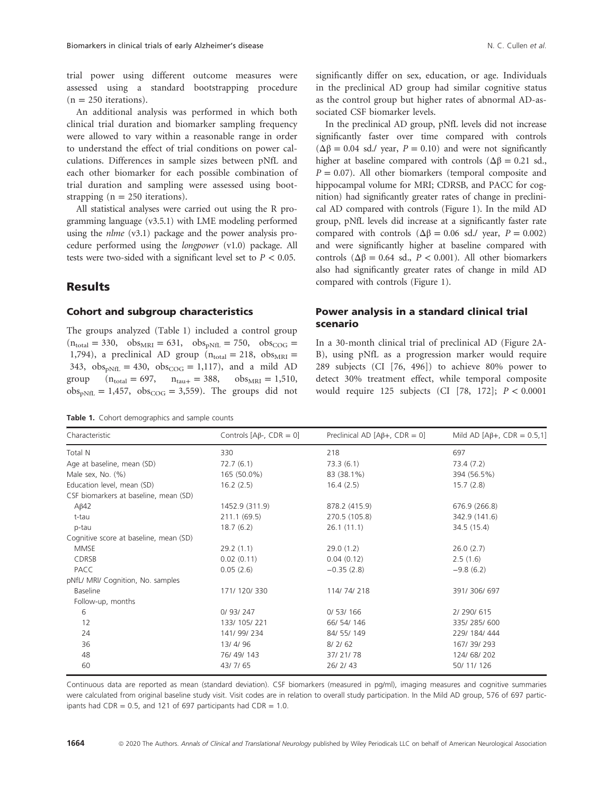trial power using different outcome measures were assessed using a standard bootstrapping procedure  $(n = 250$  iterations).

An additional analysis was performed in which both clinical trial duration and biomarker sampling frequency were allowed to vary within a reasonable range in order to understand the effect of trial conditions on power calculations. Differences in sample sizes between pNfL and each other biomarker for each possible combination of trial duration and sampling were assessed using bootstrapping ( $n = 250$  iterations).

All statistical analyses were carried out using the R programming language (v3.5.1) with LME modeling performed using the nlme (v3.1) package and the power analysis procedure performed using the longpower (v1.0) package. All tests were two-sided with a significant level set to  $P < 0.05$ .

## **Results**

#### Cohort and subgroup characteristics

The groups analyzed (Table 1) included a control group  $(n_{\text{total}} = 330, \text{obs}_{\text{MRI}} = 631, \text{obs}_{\text{pNfL}} = 750, \text{obs}_{\text{COG}} =$ 1,794), a preclinical AD group  $(n_{total} = 218, obs_{MRI})$ 343,  $obs_{nMfL} = 430$ ,  $obs_{COG} = 1,117$ , and a mild AD group  $(n_{\text{total}} = 697, n_{\text{tau}} = 388, \text{obs}_{\text{MRI}} = 1,510,$  $obs_{pNfL} = 1,457$ ,  $obs_{COG} = 3,559$ ). The groups did not

Table 1. Cohort demographics and sample counts

significantly differ on sex, education, or age. Individuals in the preclinical AD group had similar cognitive status as the control group but higher rates of abnormal AD-associated CSF biomarker levels.

In the preclinical AD group, pNfL levels did not increase significantly faster over time compared with controls  $(\Delta \beta = 0.04 \text{ sd.} / \text{year}, P = 0.10)$  and were not significantly higher at baseline compared with controls ( $\Delta \beta = 0.21$  sd.,  $P = 0.07$ ). All other biomarkers (temporal composite and hippocampal volume for MRI; CDRSB, and PACC for cognition) had significantly greater rates of change in preclinical AD compared with controls (Figure 1). In the mild AD group, pNfL levels did increase at a significantly faster rate compared with controls ( $Δβ = 0.06$  sd./ year,  $P = 0.002$ ) and were significantly higher at baseline compared with controls ( $\Delta \beta = 0.64$  sd.,  $P < 0.001$ ). All other biomarkers also had significantly greater rates of change in mild AD compared with controls (Figure 1).

## Power analysis in a standard clinical trial scenario

In a 30-month clinical trial of preclinical AD (Figure 2A-B), using pNfL as a progression marker would require 289 subjects (CI [76, 496]) to achieve 80% power to detect 30% treatment effect, while temporal composite would require 125 subjects (CI [78, 172]; P < 0.0001

| Characteristic                         | Controls $[A\beta-, CDR = 0]$ | Preclinical AD $[A\beta +$ , CDR = 0] | Mild AD [ $A\beta +$ , CDR = 0.5,1] |
|----------------------------------------|-------------------------------|---------------------------------------|-------------------------------------|
| Total N                                | 330                           | 218                                   | 697                                 |
| Age at baseline, mean (SD)             | 72.7(6.1)                     | 73.3(6.1)                             | 73.4(7.2)                           |
| Male sex, No. (%)                      | 165 (50.0%)                   | 83 (38.1%)                            | 394 (56.5%)                         |
| Education level, mean (SD)             | 16.2(2.5)                     | 16.4(2.5)                             | 15.7(2.8)                           |
| CSF biomarkers at baseline, mean (SD)  |                               |                                       |                                     |
| $A\beta 42$                            | 1452.9 (311.9)                | 878.2 (415.9)                         | 676.9 (266.8)                       |
| t-tau                                  | 211.1 (69.5)                  | 270.5 (105.8)                         | 342.9 (141.6)                       |
| p-tau                                  | 18.7(6.2)                     | 26.1(11.1)                            | 34.5 (15.4)                         |
| Cognitive score at baseline, mean (SD) |                               |                                       |                                     |
| <b>MMSE</b>                            | 29.2(1.1)                     | 29.0(1.2)                             | 26.0(2.7)                           |
| <b>CDRSB</b>                           | 0.02(0.11)                    | 0.04(0.12)                            | 2.5(1.6)                            |
| PACC                                   | 0.05(2.6)                     | $-0.35(2.8)$                          | $-9.8(6.2)$                         |
| pNfL/ MRI/ Cognition, No. samples      |                               |                                       |                                     |
| Baseline                               | 171/120/330                   | 114/74/218                            | 391/306/697                         |
| Follow-up, months                      |                               |                                       |                                     |
| 6                                      | 0/93/247                      | 0/53/166                              | 2/ 290/ 615                         |
| 12                                     | 133/105/221                   | 66/ 54/ 146                           | 335/285/600                         |
| 24                                     | 141/99/234                    | 84/ 55/ 149                           | 229/ 184/ 444                       |
| 36                                     | 13/4/96                       | 8/2/62                                | 167/39/293                          |
| 48                                     | 76/49/143                     | 37/21/78                              | 124/68/202                          |
| 60                                     | 43/7/65                       | 26/2/43                               | 50/11/126                           |

Continuous data are reported as mean (standard deviation). CSF biomarkers (measured in pg/ml), imaging measures and cognitive summaries were calculated from original baseline study visit. Visit codes are in relation to overall study participation. In the Mild AD group, 576 of 697 participants had CDR =  $0.5$ , and 121 of 697 participants had CDR = 1.0.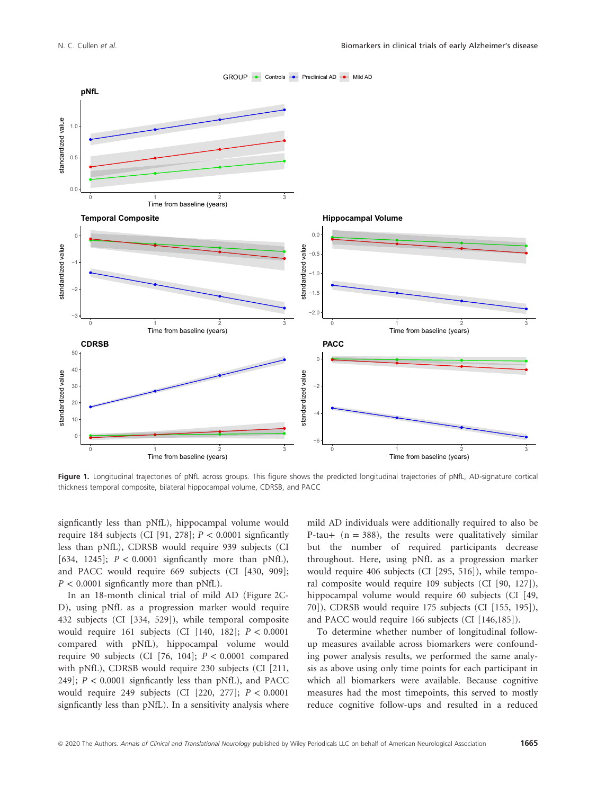

Figure 1. Longitudinal trajectories of pNfL across groups. This figure shows the predicted longitudinal trajectories of pNfL, AD-signature cortical thickness temporal composite, bilateral hippocampal volume, CDRSB, and PACC

signficantly less than pNfL), hippocampal volume would require 184 subjects (CI [91, 278];  $P < 0.0001$  signficantly less than pNfL), CDRSB would require 939 subjects (CI [634, 1245];  $P < 0.0001$  signficantly more than pNfL), and PACC would require 669 subjects (CI [430, 909];  $P < 0.0001$  signficantly more than pNfL).

In an 18-month clinical trial of mild AD (Figure 2C-D), using pNfL as a progression marker would require 432 subjects (CI [334, 529]), while temporal composite would require 161 subjects (CI [140, 182]; P < 0.0001 compared with pNfL), hippocampal volume would require 90 subjects (CI [76, 104];  $P < 0.0001$  compared with pNfL), CDRSB would require 230 subjects (CI [211, 249];  $P < 0.0001$  signficantly less than pNfL), and PACC would require 249 subjects (CI  $[220, 277]$ ;  $P < 0.0001$ signficantly less than pNfL). In a sensitivity analysis where mild AD individuals were additionally required to also be P-tau+  $(n = 388)$ , the results were qualitatively similar but the number of required participants decrease throughout. Here, using pNfL as a progression marker would require 406 subjects (CI [295, 516]), while temporal composite would require 109 subjects (CI [90, 127]), hippocampal volume would require 60 subjects (CI [49, 70]), CDRSB would require 175 subjects (CI [155, 195]), and PACC would require 166 subjects (CI [146,185]).

To determine whether number of longitudinal followup measures available across biomarkers were confounding power analysis results, we performed the same analysis as above using only time points for each participant in which all biomarkers were available. Because cognitive measures had the most timepoints, this served to mostly reduce cognitive follow-ups and resulted in a reduced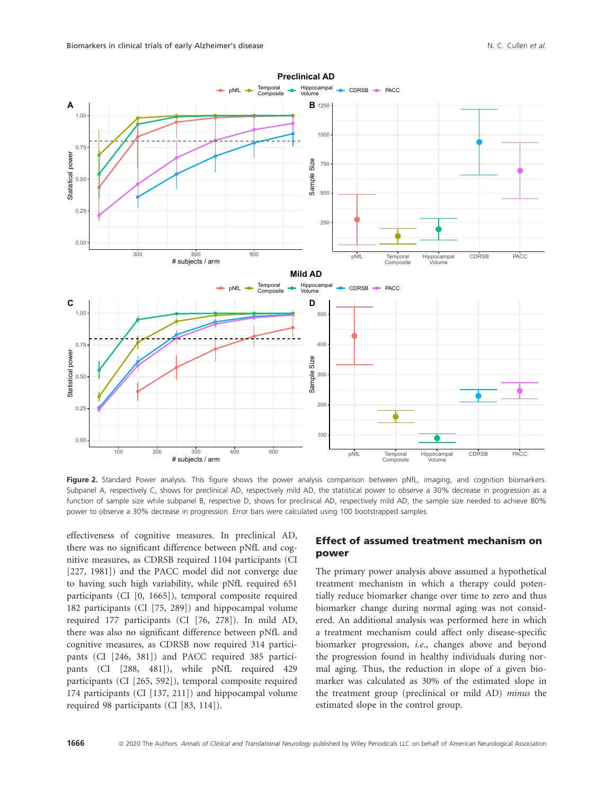

Figure 2. Standard Power analysis. This figure shows the power analysis comparison between pNfL, imaging, and cognition biomarkers. Subpanel A, respectively C, shows for preclinical AD, respectively mild AD, the statistical power to observe a 30% decrease in progression as a function of sample size while subpanel B, respective D, shows for preclinical AD, respectively mild AD, the sample size needed to achieve 80% power to observe a 30% decrease in progression. Error bars were calculated using 100 bootstrapped samples.

effectiveness of cognitive measures. In preclinical AD, there was no significant difference between pNfL and cognitive measures, as CDRSB required 1104 participants (CI [227, 1981]) and the PACC model did not converge due to having such high variability, while pNfL required 651 participants (CI [0, 1665]), temporal composite required 182 participants (CI [75, 289]) and hippocampal volume required 177 participants (CI [76, 278]). In mild AD, there was also no significant difference between pNfL and cognitive measures, as CDRSB now required 314 participants (CI [246, 381]) and PACC required 385 participants (CI [288, 481]), while pNfL required 429 participants (CI [265, 592]), temporal composite required 174 participants (CI [137, 211]) and hippocampal volume required 98 participants (CI [83, 114]).

## Effect of assumed treatment mechanism on power

The primary power analysis above assumed a hypothetical treatment mechanism in which a therapy could potentially reduce biomarker change over time to zero and thus biomarker change during normal aging was not considered. An additional analysis was performed here in which a treatment mechanism could affect only disease-specific biomarker progression, i.e., changes above and beyond the progression found in healthy individuals during normal aging. Thus, the reduction in slope of a given biomarker was calculated as 30% of the estimated slope in the treatment group (preclinical or mild AD) minus the estimated slope in the control group.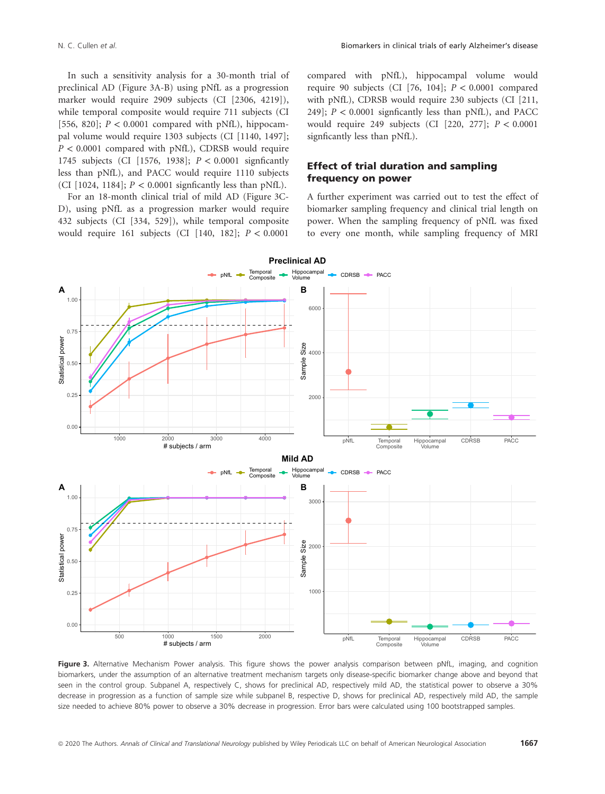In such a sensitivity analysis for a 30-month trial of preclinical AD (Figure 3A-B) using pNfL as a progression marker would require 2909 subjects (CI [2306, 4219]), while temporal composite would require 711 subjects (CI [556, 820];  $P < 0.0001$  compared with pNfL), hippocampal volume would require 1303 subjects (CI [1140, 1497];  $P < 0.0001$  compared with pNfL), CDRSB would require 1745 subjects (CI [1576, 1938]; P < 0.0001 signficantly less than pNfL), and PACC would require 1110 subjects (CI [1024, 1184];  $P < 0.0001$  signficantly less than pNfL).

For an 18-month clinical trial of mild AD (Figure 3C-D), using pNfL as a progression marker would require 432 subjects (CI [334, 529]), while temporal composite would require 161 subjects (CI [140, 182];  $P < 0.0001$ 

compared with pNfL), hippocampal volume would require 90 subjects (CI [76, 104];  $P < 0.0001$  compared with pNfL), CDRSB would require 230 subjects (CI [211, 249];  $P < 0.0001$  signficantly less than pNfL), and PACC would require 249 subjects (CI  $[220, 277]$ ;  $P < 0.0001$ signficantly less than pNfL).

#### Effect of trial duration and sampling frequency on power

A further experiment was carried out to test the effect of biomarker sampling frequency and clinical trial length on power. When the sampling frequency of pNfL was fixed to every one month, while sampling frequency of MRI



Figure 3. Alternative Mechanism Power analysis. This figure shows the power analysis comparison between pNfL, imaging, and cognition biomarkers, under the assumption of an alternative treatment mechanism targets only disease-specific biomarker change above and beyond that seen in the control group. Subpanel A, respectively C, shows for preclinical AD, respectively mild AD, the statistical power to observe a 30% decrease in progression as a function of sample size while subpanel B, respective D, shows for preclinical AD, respectively mild AD, the sample size needed to achieve 80% power to observe a 30% decrease in progression. Error bars were calculated using 100 bootstrapped samples.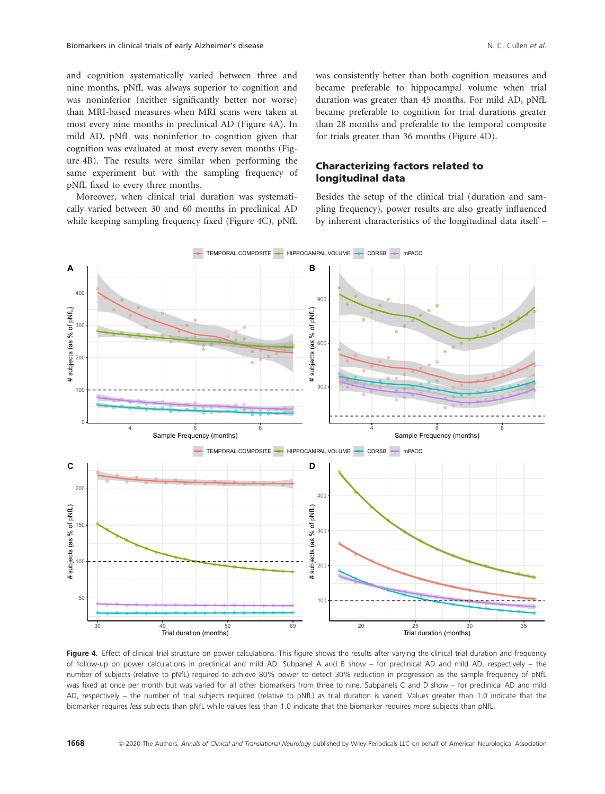and cognition systematically varied between three and nine months, pNfL was always superior to cognition and was noninferior (neither significantly better nor worse) than MRI-based measures when MRI scans were taken at most every nine months in preclinical AD (Figure 4A). In mild AD, pNfL was noninferior to cognition given that cognition was evaluated at most every seven months (Figure 4B). The results were similar when performing the same experiment but with the sampling frequency of pNfL fixed to every three months.

Moreover, when clinical trial duration was systematically varied between 30 and 60 months in preclinical AD while keeping sampling frequency fixed (Figure 4C), pNfL was consistently better than both cognition measures and became preferable to hippocampal volume when trial duration was greater than 45 months. For mild AD, pNfL became preferable to cognition for trial durations greater than 28 months and preferable to the temporal composite for trials greater than 36 months (Figure 4D).

#### Characterizing factors related to longitudinal data

Besides the setup of the clinical trial (duration and sampling frequency), power results are also greatly influenced by inherent characteristics of the longitudinal data itself –



Figure 4. Effect of clinical trial structure on power calculations. This figure shows the results after varying the clinical trial duration and frequency of follow-up on power calculations in preclinical and mild AD. Subpanel A and B show – for preclinical AD and mild AD, respectively – the number of subjects (relative to pNfL) required to achieve 80% power to detect 30% reduction in progression as the sample frequency of pNfL was fixed at once per month but was varied for all other biomarkers from three to nine. Subpanels C and D show – for preclinical AD and mild AD, respectively – the number of trial subjects required (relative to pNfL) as trial duration is varied. Values greater than 1.0 indicate that the biomarker requires less subjects than pNfL while values less than 1.0 indicate that the biomarker requires more subjects than pNfL.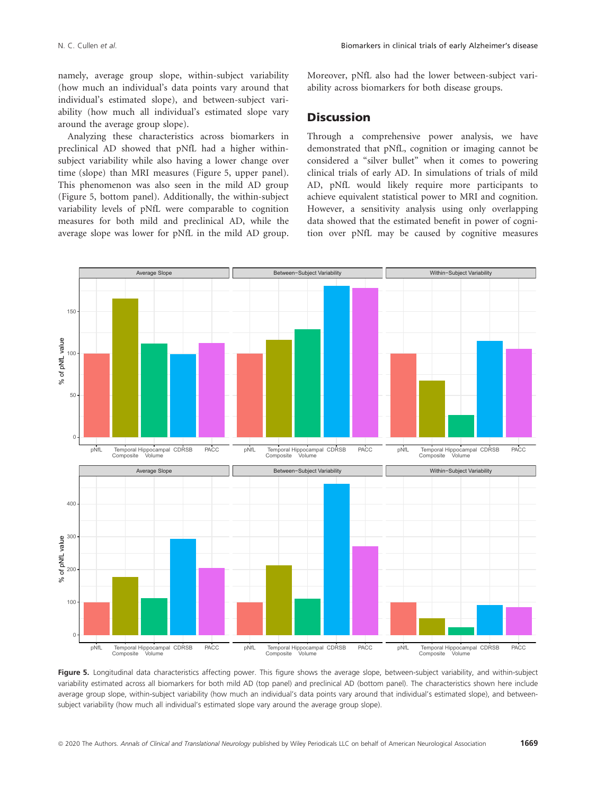namely, average group slope, within-subject variability (how much an individual's data points vary around that individual's estimated slope), and between-subject variability (how much all individual's estimated slope vary around the average group slope).

Analyzing these characteristics across biomarkers in preclinical AD showed that pNfL had a higher withinsubject variability while also having a lower change over time (slope) than MRI measures (Figure 5, upper panel). This phenomenon was also seen in the mild AD group (Figure 5, bottom panel). Additionally, the within-subject variability levels of pNfL were comparable to cognition measures for both mild and preclinical AD, while the average slope was lower for pNfL in the mild AD group. Moreover, pNfL also had the lower between-subject variability across biomarkers for both disease groups.

## **Discussion**

Through a comprehensive power analysis, we have demonstrated that pNfL, cognition or imaging cannot be considered a "silver bullet" when it comes to powering clinical trials of early AD. In simulations of trials of mild AD, pNfL would likely require more participants to achieve equivalent statistical power to MRI and cognition. However, a sensitivity analysis using only overlapping data showed that the estimated benefit in power of cognition over pNfL may be caused by cognitive measures



Figure 5. Longitudinal data characteristics affecting power. This figure shows the average slope, between-subject variability, and within-subject variability estimated across all biomarkers for both mild AD (top panel) and preclinical AD (bottom panel). The characteristics shown here include average group slope, within-subject variability (how much an individual's data points vary around that individual's estimated slope), and betweensubject variability (how much all individual's estimated slope vary around the average group slope).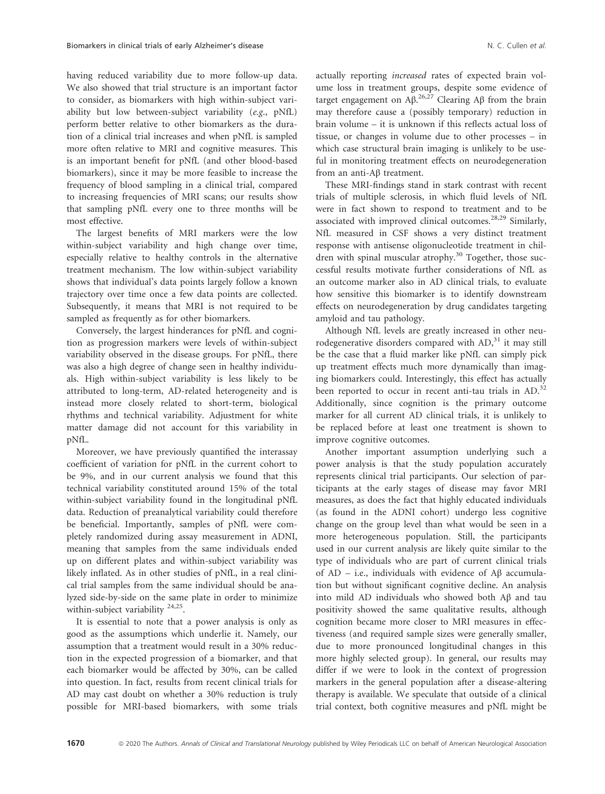having reduced variability due to more follow-up data. We also showed that trial structure is an important factor to consider, as biomarkers with high within-subject variability but low between-subject variability (e.g., pNfL) perform better relative to other biomarkers as the duration of a clinical trial increases and when pNfL is sampled more often relative to MRI and cognitive measures. This is an important benefit for pNfL (and other blood-based biomarkers), since it may be more feasible to increase the frequency of blood sampling in a clinical trial, compared to increasing frequencies of MRI scans; our results show that sampling pNfL every one to three months will be most effective.

The largest benefits of MRI markers were the low within-subject variability and high change over time, especially relative to healthy controls in the alternative treatment mechanism. The low within-subject variability shows that individual's data points largely follow a known trajectory over time once a few data points are collected. Subsequently, it means that MRI is not required to be sampled as frequently as for other biomarkers.

Conversely, the largest hinderances for pNfL and cognition as progression markers were levels of within-subject variability observed in the disease groups. For pNfL, there was also a high degree of change seen in healthy individuals. High within-subject variability is less likely to be attributed to long-term, AD-related heterogeneity and is instead more closely related to short-term, biological rhythms and technical variability. Adjustment for white matter damage did not account for this variability in pNfL.

Moreover, we have previously quantified the interassay coefficient of variation for pNfL in the current cohort to be 9%, and in our current analysis we found that this technical variability constituted around 15% of the total within-subject variability found in the longitudinal pNfL data. Reduction of preanalytical variability could therefore be beneficial. Importantly, samples of pNfL were completely randomized during assay measurement in ADNI, meaning that samples from the same individuals ended up on different plates and within-subject variability was likely inflated. As in other studies of pNfL, in a real clinical trial samples from the same individual should be analyzed side-by-side on the same plate in order to minimize within-subject variability <sup>24,25</sup>.

It is essential to note that a power analysis is only as good as the assumptions which underlie it. Namely, our assumption that a treatment would result in a 30% reduction in the expected progression of a biomarker, and that each biomarker would be affected by 30%, can be called into question. In fact, results from recent clinical trials for AD may cast doubt on whether a 30% reduction is truly possible for MRI-based biomarkers, with some trials actually reporting increased rates of expected brain volume loss in treatment groups, despite some evidence of target engagement on  $\text{A}\beta$ .<sup>26,27</sup> Clearing  $\text{A}\beta$  from the brain may therefore cause a (possibly temporary) reduction in brain volume – it is unknown if this reflects actual loss of tissue, or changes in volume due to other processes – in which case structural brain imaging is unlikely to be useful in monitoring treatment effects on neurodegeneration from an anti-Aβ treatment.

These MRI-findings stand in stark contrast with recent trials of multiple sclerosis, in which fluid levels of NfL were in fact shown to respond to treatment and to be associated with improved clinical outcomes.<sup>28,29</sup> Similarly, NfL measured in CSF shows a very distinct treatment response with antisense oligonucleotide treatment in children with spinal muscular atrophy. $30$  Together, those successful results motivate further considerations of NfL as an outcome marker also in AD clinical trials, to evaluate how sensitive this biomarker is to identify downstream effects on neurodegeneration by drug candidates targeting amyloid and tau pathology.

Although NfL levels are greatly increased in other neurodegenerative disorders compared with  $AD<sub>1</sub><sup>31</sup>$  it may still be the case that a fluid marker like pNfL can simply pick up treatment effects much more dynamically than imaging biomarkers could. Interestingly, this effect has actually been reported to occur in recent anti-tau trials in AD.<sup>32</sup> Additionally, since cognition is the primary outcome marker for all current AD clinical trials, it is unlikely to be replaced before at least one treatment is shown to improve cognitive outcomes.

Another important assumption underlying such a power analysis is that the study population accurately represents clinical trial participants. Our selection of participants at the early stages of disease may favor MRI measures, as does the fact that highly educated individuals (as found in the ADNI cohort) undergo less cognitive change on the group level than what would be seen in a more heterogeneous population. Still, the participants used in our current analysis are likely quite similar to the type of individuals who are part of current clinical trials of AD – i.e., individuals with evidence of Aβ accumulation but without significant cognitive decline. An analysis into mild AD individuals who showed both Aβ and tau positivity showed the same qualitative results, although cognition became more closer to MRI measures in effectiveness (and required sample sizes were generally smaller, due to more pronounced longitudinal changes in this more highly selected group). In general, our results may differ if we were to look in the context of progression markers in the general population after a disease-altering therapy is available. We speculate that outside of a clinical trial context, both cognitive measures and pNfL might be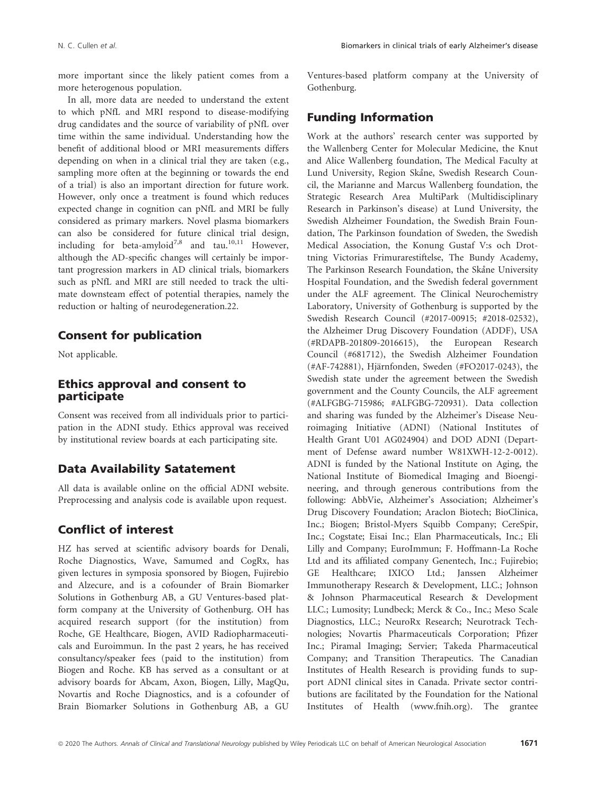more important since the likely patient comes from a more heterogenous population.

In all, more data are needed to understand the extent to which pNfL and MRI respond to disease-modifying drug candidates and the source of variability of pNfL over time within the same individual. Understanding how the benefit of additional blood or MRI measurements differs depending on when in a clinical trial they are taken (e.g., sampling more often at the beginning or towards the end of a trial) is also an important direction for future work. However, only once a treatment is found which reduces expected change in cognition can pNfL and MRI be fully considered as primary markers. Novel plasma biomarkers can also be considered for future clinical trial design, including for beta-amyloid<sup>7,8</sup> and tau.<sup>10,11</sup> However, although the AD-specific changes will certainly be important progression markers in AD clinical trials, biomarkers such as pNfL and MRI are still needed to track the ultimate downsteam effect of potential therapies, namely the reduction or halting of neurodegeneration.22.

## Consent for publication

Not applicable.

# Ethics approval and consent to participate

Consent was received from all individuals prior to participation in the ADNI study. Ethics approval was received by institutional review boards at each participating site.

# Data Availability Satatement

All data is available online on the official ADNI website. Preprocessing and analysis code is available upon request.

## Conflict of interest

HZ has served at scientific advisory boards for Denali, Roche Diagnostics, Wave, Samumed and CogRx, has given lectures in symposia sponsored by Biogen, Fujirebio and Alzecure, and is a cofounder of Brain Biomarker Solutions in Gothenburg AB, a GU Ventures-based platform company at the University of Gothenburg. OH has acquired research support (for the institution) from Roche, GE Healthcare, Biogen, AVID Radiopharmaceuticals and Euroimmun. In the past 2 years, he has received consultancy/speaker fees (paid to the institution) from Biogen and Roche. KB has served as a consultant or at advisory boards for Abcam, Axon, Biogen, Lilly, MagQu, Novartis and Roche Diagnostics, and is a cofounder of Brain Biomarker Solutions in Gothenburg AB, a GU Ventures-based platform company at the University of Gothenburg.

## Funding Information

Work at the authors' research center was supported by the Wallenberg Center for Molecular Medicine, the Knut and Alice Wallenberg foundation, The Medical Faculty at Lund University, Region Skåne, Swedish Research Council, the Marianne and Marcus Wallenberg foundation, the Strategic Research Area MultiPark (Multidisciplinary Research in Parkinson's disease) at Lund University, the Swedish Alzheimer Foundation, the Swedish Brain Foundation, The Parkinson foundation of Sweden, the Swedish Medical Association, the Konung Gustaf V:s och Drottning Victorias Frimurarestiftelse, The Bundy Academy, The Parkinson Research Foundation, the Skåne University Hospital Foundation, and the Swedish federal government under the ALF agreement. The Clinical Neurochemistry Laboratory, University of Gothenburg is supported by the Swedish Research Council (#2017-00915; #2018-02532), the Alzheimer Drug Discovery Foundation (ADDF), USA (#RDAPB-201809-2016615), the European Research Council (#681712), the Swedish Alzheimer Foundation (#AF-742881), Hjärnfonden, Sweden (#FO2017-0243), the Swedish state under the agreement between the Swedish government and the County Councils, the ALF agreement (#ALFGBG-715986; #ALFGBG-720931). Data collection and sharing was funded by the Alzheimer's Disease Neuroimaging Initiative (ADNI) (National Institutes of Health Grant U01 AG024904) and DOD ADNI (Department of Defense award number W81XWH-12-2-0012). ADNI is funded by the National Institute on Aging, the National Institute of Biomedical Imaging and Bioengineering, and through generous contributions from the following: AbbVie, Alzheimer's Association; Alzheimer's Drug Discovery Foundation; Araclon Biotech; BioClinica, Inc.; Biogen; Bristol-Myers Squibb Company; CereSpir, Inc.; Cogstate; Eisai Inc.; Elan Pharmaceuticals, Inc.; Eli Lilly and Company; EuroImmun; F. Hoffmann-La Roche Ltd and its affiliated company Genentech, Inc.; Fujirebio; GE Healthcare; IXICO Ltd.; Janssen Alzheimer Immunotherapy Research & Development, LLC.; Johnson & Johnson Pharmaceutical Research & Development LLC.; Lumosity; Lundbeck; Merck & Co., Inc.; Meso Scale Diagnostics, LLC.; NeuroRx Research; Neurotrack Technologies; Novartis Pharmaceuticals Corporation; Pfizer Inc.; Piramal Imaging; Servier; Takeda Pharmaceutical Company; and Transition Therapeutics. The Canadian Institutes of Health Research is providing funds to support ADNI clinical sites in Canada. Private sector contributions are facilitated by the Foundation for the National Institutes of Health ([www.fnih.org](http://www.fnih.org)). The grantee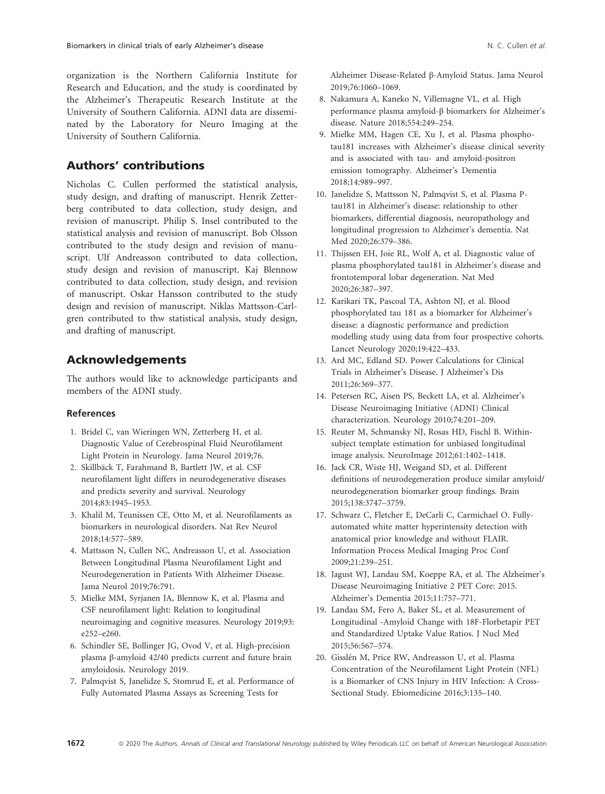organization is the Northern California Institute for Research and Education, and the study is coordinated by the Alzheimer's Therapeutic Research Institute at the University of Southern California. ADNI data are disseminated by the Laboratory for Neuro Imaging at the University of Southern California.

# Authors' contributions

Nicholas C. Cullen performed the statistical analysis, study design, and drafting of manuscript. Henrik Zetterberg contributed to data collection, study design, and revision of manuscript. Philip S. Insel contributed to the statistical analysis and revision of manuscript. Bob Olsson contributed to the study design and revision of manuscript. Ulf Andreasson contributed to data collection, study design and revision of manuscript. Kaj Blennow contributed to data collection, study design, and revision of manuscript. Oskar Hansson contributed to the study design and revision of manuscript. Niklas Mattsson-Carlgren contributed to thw statistical analysis, study design, and drafting of manuscript.

# Acknowledgements

The authors would like to acknowledge participants and members of the ADNI study.

#### References

- 1. Bridel C, van Wieringen WN, Zetterberg H, et al. Diagnostic Value of Cerebrospinal Fluid Neurofilament Light Protein in Neurology. Jama Neurol 2019;76.
- 2. Skillbäck T, Farahmand B, Bartlett JW, et al. CSF neurofilament light differs in neurodegenerative diseases and predicts severity and survival. Neurology 2014;83:1945–1953.
- 3. Khalil M, Teunissen CE, Otto M, et al. Neurofilaments as biomarkers in neurological disorders. Nat Rev Neurol 2018;14:577–589.
- 4. Mattsson N, Cullen NC, Andreasson U, et al. Association Between Longitudinal Plasma Neurofilament Light and Neurodegeneration in Patients With Alzheimer Disease. Jama Neurol 2019;76:791.
- 5. Mielke MM, Syrjanen JA, Blennow K, et al. Plasma and CSF neurofilament light: Relation to longitudinal neuroimaging and cognitive measures. Neurology 2019;93:  $e^{252-e^{260}}$
- 6. Schindler SE, Bollinger JG, Ovod V, et al. High-precision plasma β-amyloid 42/40 predicts current and future brain amyloidosis. Neurology 2019.
- 7. Palmqvist S, Janelidze S, Stomrud E, et al. Performance of Fully Automated Plasma Assays as Screening Tests for

Alzheimer Disease-Related β-Amyloid Status. Jama Neurol 2019;76:1060–1069.

- 8. Nakamura A, Kaneko N, Villemagne VL, et al. High performance plasma amyloid-β biomarkers for Alzheimer's disease. Nature 2018;554:249–254.
- 9. Mielke MM, Hagen CE, Xu J, et al. Plasma phosphotau181 increases with Alzheimer's disease clinical severity and is associated with tau- and amyloid-positron emission tomography. Alzheimer's Dementia 2018;14:989–997.
- 10. Janelidze S, Mattsson N, Palmqvist S, et al. Plasma Ptau181 in Alzheimer's disease: relationship to other biomarkers, differential diagnosis, neuropathology and longitudinal progression to Alzheimer's dementia. Nat Med 2020;26:379–386.
- 11. Thijssen EH, Joie RL, Wolf A, et al. Diagnostic value of plasma phosphorylated tau181 in Alzheimer's disease and frontotemporal lobar degeneration. Nat Med 2020;26:387–397.
- 12. Karikari TK, Pascoal TA, Ashton NJ, et al. Blood phosphorylated tau 181 as a biomarker for Alzheimer's disease: a diagnostic performance and prediction modelling study using data from four prospective cohorts. Lancet Neurology 2020;19:422–433.
- 13. Ard MC, Edland SD. Power Calculations for Clinical Trials in Alzheimer's Disease. J Alzheimer's Dis 2011;26:369–377.
- 14. Petersen RC, Aisen PS, Beckett LA, et al. Alzheimer's Disease Neuroimaging Initiative (ADNI) Clinical characterization. Neurology 2010;74:201–209.
- 15. Reuter M, Schmansky NJ, Rosas HD, Fischl B. Withinsubject template estimation for unbiased longitudinal image analysis. NeuroImage 2012;61:1402–1418.
- 16. Jack CR, Wiste HJ, Weigand SD, et al. Different definitions of neurodegeneration produce similar amyloid/ neurodegeneration biomarker group findings. Brain 2015;138:3747–3759.
- 17. Schwarz C, Fletcher E, DeCarli C, Carmichael O. Fullyautomated white matter hyperintensity detection with anatomical prior knowledge and without FLAIR. Information Process Medical Imaging Proc Conf 2009;21:239–251.
- 18. Jagust WJ, Landau SM, Koeppe RA, et al. The Alzheimer's Disease Neuroimaging Initiative 2 PET Core: 2015. Alzheimer's Dementia 2015;11:757–771.
- 19. Landau SM, Fero A, Baker SL, et al. Measurement of Longitudinal -Amyloid Change with 18F-Florbetapir PET and Standardized Uptake Value Ratios. J Nucl Med 2015;56:567–574.
- 20. Gisslén M, Price RW, Andreasson U, et al. Plasma Concentration of the Neurofilament Light Protein (NFL) is a Biomarker of CNS Injury in HIV Infection: A Cross-Sectional Study. Ebiomedicine 2016;3:135–140.